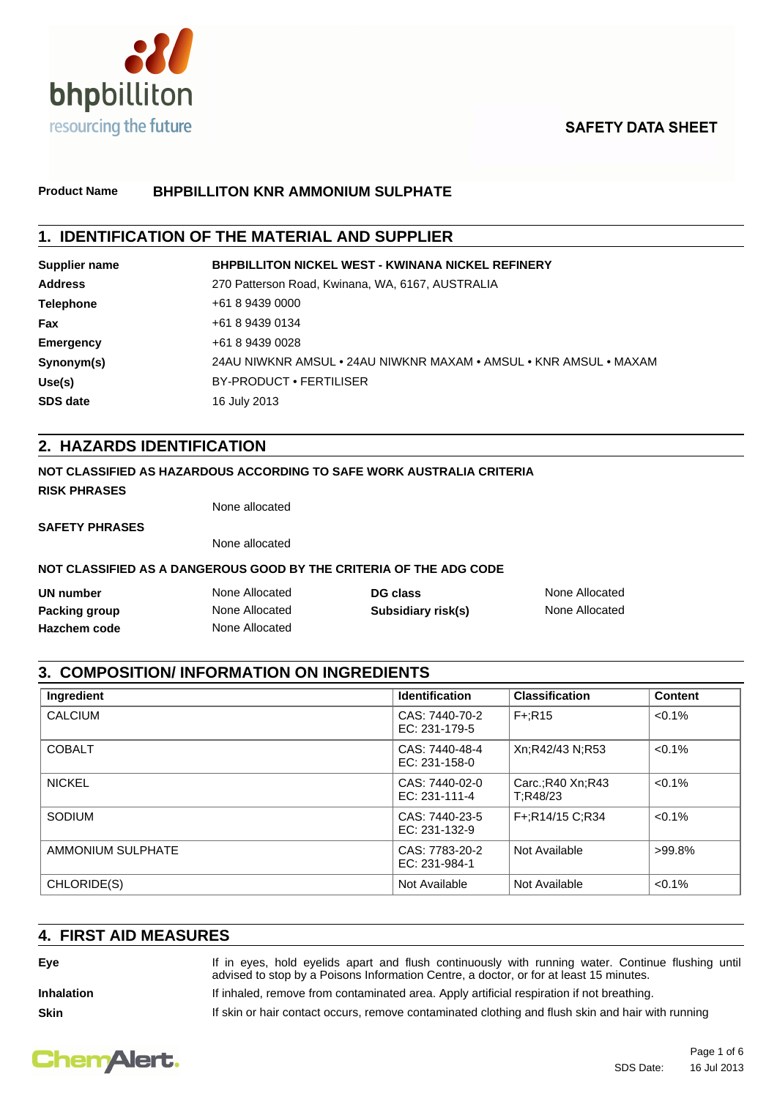

# **SAFETY DATA SHEET**

#### **Product Name BHPBILLITON KNR AMMONIUM SULPHATE**

## **1. IDENTIFICATION OF THE MATERIAL AND SUPPLIER**

| Supplier name    | <b>BHPBILLITON NICKEL WEST - KWINANA NICKEL REFINERY</b>          |
|------------------|-------------------------------------------------------------------|
| <b>Address</b>   | 270 Patterson Road, Kwinana, WA, 6167, AUSTRALIA                  |
| <b>Telephone</b> | +61 8 9439 0000                                                   |
| Fax              | +61 8 9439 0134                                                   |
| <b>Emergency</b> | +61 8 9439 0028                                                   |
| Synonym(s)       | 24AU NIWKNR AMSUL • 24AU NIWKNR MAXAM • AMSUL • KNR AMSUL • MAXAM |
| Use(s)           | BY-PRODUCT • FERTILISER                                           |
| <b>SDS date</b>  | 16 July 2013                                                      |

## **2. HAZARDS IDENTIFICATION**

#### **NOT CLASSIFIED AS HAZARDOUS ACCORDING TO SAFE WORK AUSTRALIA CRITERIA**

**RISK PHRASES**

None allocated

**SAFETY PHRASES**

None allocated

#### **NOT CLASSIFIED AS A DANGEROUS GOOD BY THE CRITERIA OF THE ADG CODE**

| UN number           | None Allocated | DG class           | None Allocated |
|---------------------|----------------|--------------------|----------------|
| Packing group       | None Allocated | Subsidiary risk(s) | None Allocated |
| <b>Hazchem code</b> | None Allocated |                    |                |

## **3. COMPOSITION/ INFORMATION ON INGREDIENTS**

| Ingredient        | <b>Identification</b>             | <b>Classification</b>          | <b>Content</b> |
|-------------------|-----------------------------------|--------------------------------|----------------|
| <b>CALCIUM</b>    | CAS: 7440-70-2<br>EC: 231-179-5   | $F + R15$                      | $< 0.1\%$      |
| <b>COBALT</b>     | CAS: 7440-48-4<br>$EC: 231-158-0$ | Xn;R42/43 N;R53                | $< 0.1\%$      |
| <b>NICKEL</b>     | CAS: 7440-02-0<br>EC: $231-111-4$ | Carc.: R40 Xn: R43<br>T:R48/23 | $< 0.1\%$      |
| <b>SODIUM</b>     | CAS: 7440-23-5<br>$EC: 231-132-9$ | F+:R14/15 C:R34                | $< 0.1\%$      |
| AMMONIUM SULPHATE | CAS: 7783-20-2<br>EC: 231-984-1   | Not Available                  | $>99.8\%$      |
| CHLORIDE(S)       | Not Available                     | Not Available                  | $< 0.1\%$      |

## **4. FIRST AID MEASURES**

**Eye** If in eyes, hold eyelids apart and flush continuously with running water. Continue flushing until advised to stop by a Poisons Information Centre, a doctor, or for at least 15 minutes.

**Inhalation** If inhaled, remove from contaminated area. Apply artificial respiration if not breathing.

**Skin If skin or hair contact occurs, remove contaminated clothing and flush skin and hair with running** 



Page 1 of 6 SDS Date: 16 Jul 2013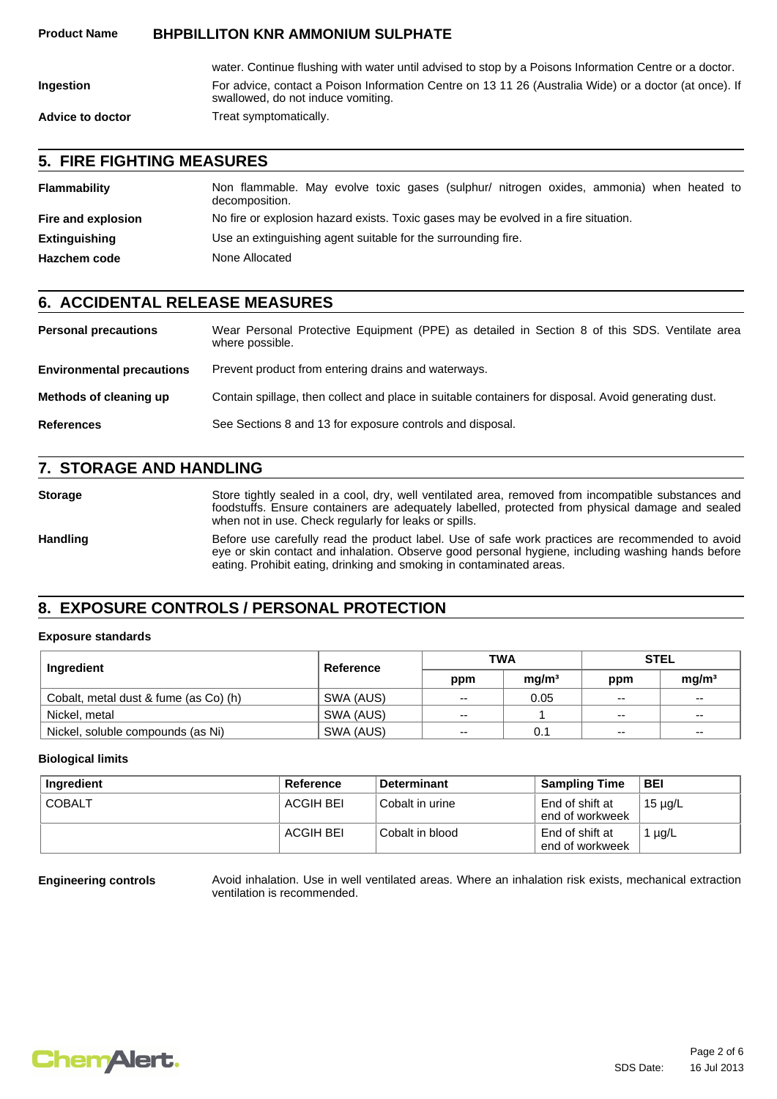|                         | water. Continue flushing with water until advised to stop by a Poisons Information Centre or a doctor.                                       |
|-------------------------|----------------------------------------------------------------------------------------------------------------------------------------------|
| <b>Ingestion</b>        | For advice, contact a Poison Information Centre on 13 11 26 (Australia Wide) or a doctor (at once). If<br>swallowed, do not induce vomiting. |
| <b>Advice to doctor</b> | Treat symptomatically.                                                                                                                       |

## **5. FIRE FIGHTING MEASURES**

| Flammability         | Non flammable. May evolve toxic gases (sulphur/ nitrogen oxides, ammonia) when heated to<br>decomposition. |  |
|----------------------|------------------------------------------------------------------------------------------------------------|--|
| Fire and explosion   | No fire or explosion hazard exists. Toxic gases may be evolved in a fire situation.                        |  |
| <b>Extinguishing</b> | Use an extinguishing agent suitable for the surrounding fire.                                              |  |
| <b>Hazchem code</b>  | None Allocated                                                                                             |  |

#### **6. ACCIDENTAL RELEASE MEASURES**

| <b>Personal precautions</b>      | Wear Personal Protective Equipment (PPE) as detailed in Section 8 of this SDS. Ventilate area<br>where possible. |  |
|----------------------------------|------------------------------------------------------------------------------------------------------------------|--|
| <b>Environmental precautions</b> | Prevent product from entering drains and waterways.                                                              |  |
| Methods of cleaning up           | Contain spillage, then collect and place in suitable containers for disposal. Avoid generating dust.             |  |
| <b>References</b>                | See Sections 8 and 13 for exposure controls and disposal.                                                        |  |

## **7. STORAGE AND HANDLING**

Storage Store tightly sealed in a cool, dry, well ventilated area, removed from incompatible substances and foodstuffs. Ensure containers are adequately labelled, protected from physical damage and sealed when not in use. Check regularly for leaks or spills. Handling Before use carefully read the product label. Use of safe work practices are recommended to avoid eye or skin contact and inhalation. Observe good personal hygiene, including washing hands before eating. Prohibit eating, drinking and smoking in contaminated areas.

## **8. EXPOSURE CONTROLS / PERSONAL PROTECTION**

#### **Exposure standards**

| Ingredient                            | Reference | <b>TWA</b> |                   | <b>STEL</b> |                   |
|---------------------------------------|-----------|------------|-------------------|-------------|-------------------|
|                                       |           | ppm        | mq/m <sup>3</sup> | ppm         | mq/m <sup>3</sup> |
| Cobalt, metal dust & fume (as Co) (h) | SWA (AUS) | $- -$      | 0.05              | $- -$       | $- -$             |
| Nickel, metal                         | SWA (AUS) | --         |                   | $- -$       | $- -$             |
| Nickel, soluble compounds (as Ni)     | SWA (AUS) | $- -$      | 0.1               | $-$         | $\sim$ $\sim$     |

#### **Biological limits**

| Ingredient    | Reference | <b>Determinant</b> | <b>Sampling Time</b>               | <b>BEI</b>  |
|---------------|-----------|--------------------|------------------------------------|-------------|
| <b>COBALT</b> | ACGIH BEI | l Cobalt in urine  | End of shift at<br>end of workweek | ີ 15 µg/L   |
|               | ACGIH BEI | Cobalt in blood    | End of shift at<br>end of workweek | 1 $\mu$ g/L |

**Engineering controls** Avoid inhalation. Use in well ventilated areas. Where an inhalation risk exists, mechanical extraction ventilation is recommended.

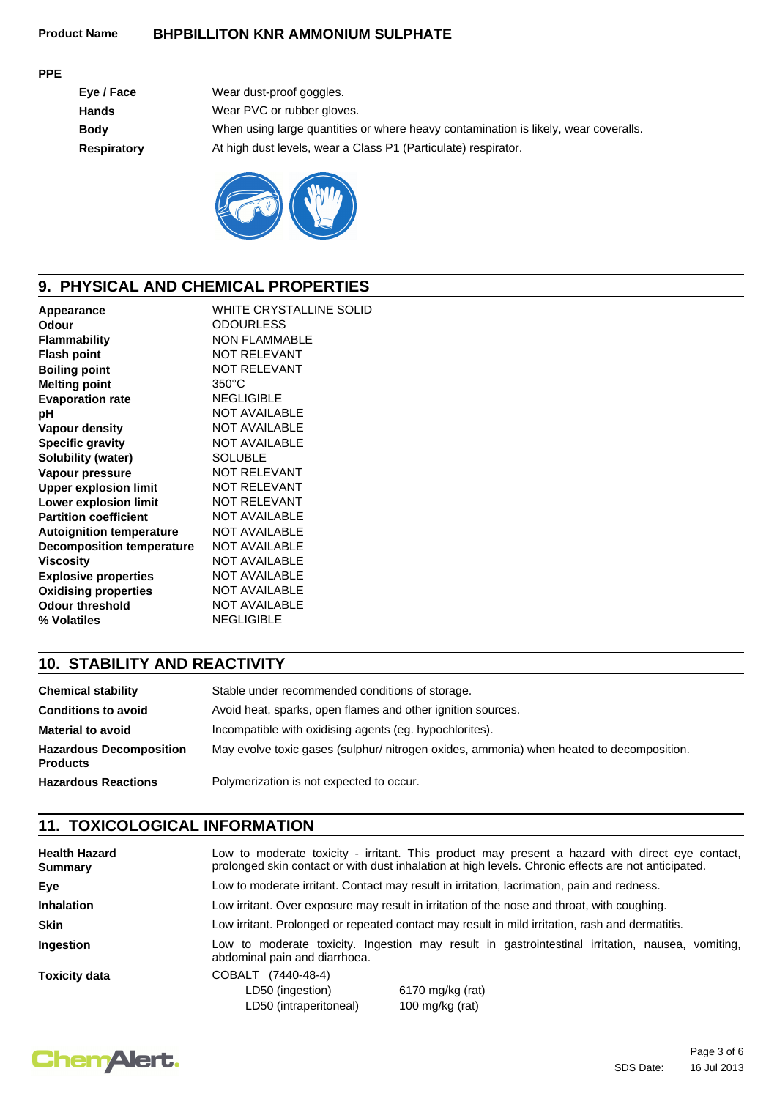#### **PPE**

| Eye / Face  | Wear dust-proof goggles.                                                            |
|-------------|-------------------------------------------------------------------------------------|
| Hands       | Wear PVC or rubber gloves.                                                          |
| <b>Body</b> | When using large quantities or where heavy contamination is likely, wear coveralls. |
| Respiratory | At high dust levels, wear a Class P1 (Particulate) respirator.                      |
|             |                                                                                     |



# **9. PHYSICAL AND CHEMICAL PROPERTIES**

| Appearance                       | <b>WHITE CRYSTALLINE SOLID</b> |
|----------------------------------|--------------------------------|
| Odour                            | <b>ODOURLESS</b>               |
| <b>Flammability</b>              | <b>NON FLAMMABLE</b>           |
| <b>Flash point</b>               | <b>NOT RELEVANT</b>            |
| <b>Boiling point</b>             | <b>NOT RELEVANT</b>            |
| <b>Melting point</b>             | $350^{\circ}$ C                |
| <b>Evaporation rate</b>          | <b>NEGLIGIBLE</b>              |
| рH                               | <b>NOT AVAILABLE</b>           |
| <b>Vapour density</b>            | <b>NOT AVAILABLE</b>           |
| <b>Specific gravity</b>          | <b>NOT AVAILABLE</b>           |
| Solubility (water)               | <b>SOLUBLE</b>                 |
| Vapour pressure                  | <b>NOT RELEVANT</b>            |
| <b>Upper explosion limit</b>     | <b>NOT RELEVANT</b>            |
| <b>Lower explosion limit</b>     | <b>NOT RELEVANT</b>            |
| <b>Partition coefficient</b>     | <b>NOT AVAILABLE</b>           |
| <b>Autoignition temperature</b>  | <b>NOT AVAILABLE</b>           |
| <b>Decomposition temperature</b> | <b>NOT AVAILABLE</b>           |
| <b>Viscosity</b>                 | <b>NOT AVAILABLE</b>           |
| <b>Explosive properties</b>      | <b>NOT AVAILABLE</b>           |
| <b>Oxidising properties</b>      | <b>NOT AVAILABLE</b>           |
| <b>Odour threshold</b>           | <b>NOT AVAILABLE</b>           |
| % Volatiles                      | <b>NEGLIGIBLE</b>              |
|                                  |                                |

# **10. STABILITY AND REACTIVITY**

| <b>Chemical stability</b>                         | Stable under recommended conditions of storage.                                          |
|---------------------------------------------------|------------------------------------------------------------------------------------------|
| <b>Conditions to avoid</b>                        | Avoid heat, sparks, open flames and other ignition sources.                              |
| <b>Material to avoid</b>                          | Incompatible with oxidising agents (eg. hypochlorites).                                  |
| <b>Hazardous Decomposition</b><br><b>Products</b> | May evolve toxic gases (sulphur/ nitrogen oxides, ammonia) when heated to decomposition. |
| <b>Hazardous Reactions</b>                        | Polymerization is not expected to occur.                                                 |

# **11. TOXICOLOGICAL INFORMATION**

| <b>Health Hazard</b><br><b>Summary</b> | Low to moderate toxicity - irritant. This product may present a hazard with direct eye contact,<br>prolonged skin contact or with dust inhalation at high levels. Chronic effects are not anticipated. |                                                                                                  |  |
|----------------------------------------|--------------------------------------------------------------------------------------------------------------------------------------------------------------------------------------------------------|--------------------------------------------------------------------------------------------------|--|
| Eve                                    | Low to moderate irritant. Contact may result in irritation, lacrimation, pain and redness.                                                                                                             |                                                                                                  |  |
| <b>Inhalation</b>                      | Low irritant. Over exposure may result in irritation of the nose and throat, with coughing.                                                                                                            |                                                                                                  |  |
| <b>Skin</b>                            | Low irritant. Prolonged or repeated contact may result in mild irritation, rash and dermatitis.                                                                                                        |                                                                                                  |  |
| Ingestion                              | abdominal pain and diarrhoea.                                                                                                                                                                          | Low to moderate toxicity. Ingestion may result in gastrointestinal irritation, nausea, vomiting, |  |
| <b>Toxicity data</b>                   | COBALT (7440-48-4)<br>LD50 (ingestion)<br>LD50 (intraperitoneal)                                                                                                                                       | 6170 mg/kg (rat)<br>100 mg/kg (rat)                                                              |  |

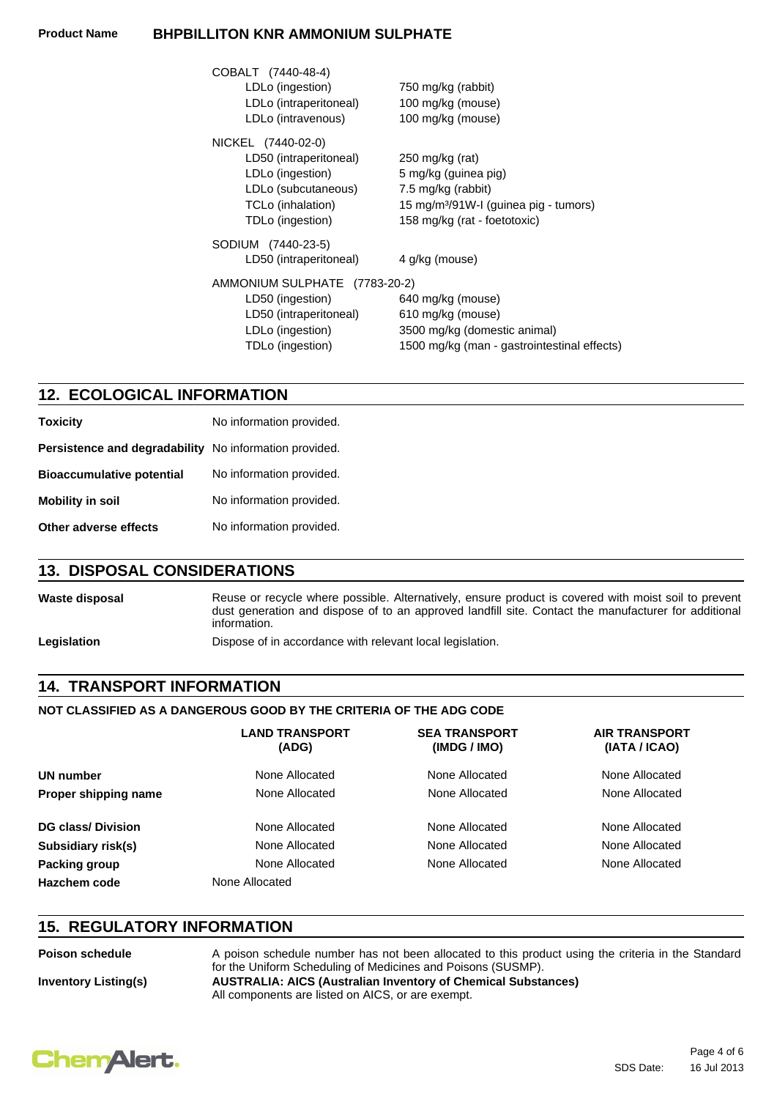| COBALT (7440-48-4)<br>LDLo (ingestion)<br>LDLo (intraperitoneal)<br>LDLo (intravenous)                                           | 750 mg/kg (rabbit)<br>100 mg/kg (mouse)<br>100 mg/kg (mouse)                                                                                       |
|----------------------------------------------------------------------------------------------------------------------------------|----------------------------------------------------------------------------------------------------------------------------------------------------|
| NICKEL (7440-02-0)<br>LD50 (intraperitoneal)<br>LDLo (ingestion)<br>LDLo (subcutaneous)<br>TCLo (inhalation)<br>TDLo (ingestion) | 250 mg/kg (rat)<br>5 mg/kg (guinea pig)<br>7.5 mg/kg (rabbit)<br>15 mg/m <sup>3</sup> /91W-I (guinea pig - tumors)<br>158 mg/kg (rat - foetotoxic) |
| SODIUM (7440-23-5)<br>LD50 (intraperitoneal)                                                                                     | 4 g/kg (mouse)                                                                                                                                     |
| AMMONIUM SULPHATE (7783-20-2)<br>LD50 (ingestion)<br>LD50 (intraperitoneal)<br>LDLo (ingestion)<br>TDLo (ingestion)              | 640 mg/kg (mouse)<br>610 mg/kg (mouse)<br>3500 mg/kg (domestic animal)<br>1500 mg/kg (man - gastrointestinal effects)                              |

## **12. ECOLOGICAL INFORMATION**

| <b>Toxicity</b>                  | No information provided. |
|----------------------------------|--------------------------|
| Persistence and degradability    | No information provided. |
| <b>Bioaccumulative potential</b> | No information provided. |
| <b>Mobility in soil</b>          | No information provided. |
| Other adverse effects            | No information provided. |

## **13. DISPOSAL CONSIDERATIONS**

Waste disposal **Reuse or recycle where possible.** Alternatively, ensure product is covered with moist soil to prevent dust generation and dispose of to an approved landfill site. Contact the manufacturer for additional information. Legislation **Dispose of in accordance with relevant local legislation.** 

## **14. TRANSPORT INFORMATION**

#### **NOT CLASSIFIED AS A DANGEROUS GOOD BY THE CRITERIA OF THE ADG CODE**

|                          | LAND TRANSPORT<br>(ADG) | <b>SEA TRANSPORT</b><br>(IMDG / IMO) | <b>AIR TRANSPORT</b><br>(IATA / ICAO) |  |  |
|--------------------------|-------------------------|--------------------------------------|---------------------------------------|--|--|
| UN number                | None Allocated          | None Allocated                       | None Allocated                        |  |  |
| Proper shipping name     | None Allocated          | None Allocated                       | None Allocated                        |  |  |
| <b>DG class/Division</b> | None Allocated          | None Allocated                       | None Allocated                        |  |  |
| Subsidiary risk(s)       | None Allocated          | None Allocated                       | None Allocated                        |  |  |
| Packing group            | None Allocated          | None Allocated                       | None Allocated                        |  |  |
| Hazchem code             | None Allocated          |                                      |                                       |  |  |

## **15. REGULATORY INFORMATION**

**Inventory Listing(s) AUSTRALIA: AICS (Australian Inventory of Chemical Substances)** All components are listed on AICS, or are exempt. **Poison schedule** A poison schedule number has not been allocated to this product using the criteria in the Standard for the Uniform Scheduling of Medicines and Poisons (SUSMP).

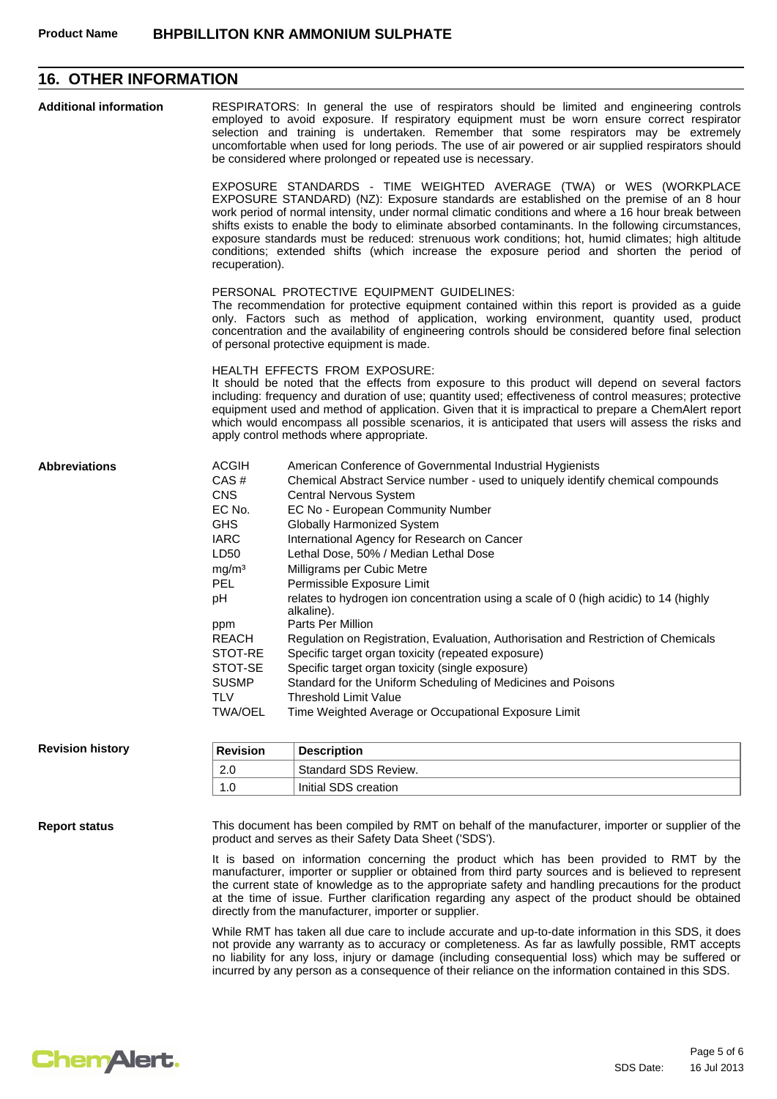## **16. OTHER INFORMATION**

| <b>Additional information</b>                                                    | RESPIRATORS: In general the use of respirators should be limited and engineering controls<br>employed to avoid exposure. If respiratory equipment must be worn ensure correct respirator<br>selection and training is undertaken. Remember that some respirators may be extremely<br>uncomfortable when used for long periods. The use of air powered or air supplied respirators should<br>be considered where prolonged or repeated use is necessary.                                                                                                                                                                                                                                                                                                                                                                                                                                                                                                                                             |                                                                                                                                                                                                                                                                                                                                                                                                                                                                                                                                                                                                                                                                                                                                                                                                                                                                                         |  |  |
|----------------------------------------------------------------------------------|-----------------------------------------------------------------------------------------------------------------------------------------------------------------------------------------------------------------------------------------------------------------------------------------------------------------------------------------------------------------------------------------------------------------------------------------------------------------------------------------------------------------------------------------------------------------------------------------------------------------------------------------------------------------------------------------------------------------------------------------------------------------------------------------------------------------------------------------------------------------------------------------------------------------------------------------------------------------------------------------------------|-----------------------------------------------------------------------------------------------------------------------------------------------------------------------------------------------------------------------------------------------------------------------------------------------------------------------------------------------------------------------------------------------------------------------------------------------------------------------------------------------------------------------------------------------------------------------------------------------------------------------------------------------------------------------------------------------------------------------------------------------------------------------------------------------------------------------------------------------------------------------------------------|--|--|
|                                                                                  | EXPOSURE STANDARDS - TIME WEIGHTED AVERAGE (TWA) or WES (WORKPLACE<br>EXPOSURE STANDARD) (NZ): Exposure standards are established on the premise of an 8 hour<br>work period of normal intensity, under normal climatic conditions and where a 16 hour break between<br>shifts exists to enable the body to eliminate absorbed contaminants. In the following circumstances,<br>exposure standards must be reduced: strenuous work conditions; hot, humid climates; high altitude<br>conditions; extended shifts (which increase the exposure period and shorten the period of<br>recuperation).<br>PERSONAL PROTECTIVE EQUIPMENT GUIDELINES:<br>The recommendation for protective equipment contained within this report is provided as a guide<br>only. Factors such as method of application, working environment, quantity used, product<br>concentration and the availability of engineering controls should be considered before final selection<br>of personal protective equipment is made. |                                                                                                                                                                                                                                                                                                                                                                                                                                                                                                                                                                                                                                                                                                                                                                                                                                                                                         |  |  |
|                                                                                  |                                                                                                                                                                                                                                                                                                                                                                                                                                                                                                                                                                                                                                                                                                                                                                                                                                                                                                                                                                                                     |                                                                                                                                                                                                                                                                                                                                                                                                                                                                                                                                                                                                                                                                                                                                                                                                                                                                                         |  |  |
| <b>HEALTH EFFECTS FROM EXPOSURE:</b><br>apply control methods where appropriate. |                                                                                                                                                                                                                                                                                                                                                                                                                                                                                                                                                                                                                                                                                                                                                                                                                                                                                                                                                                                                     | It should be noted that the effects from exposure to this product will depend on several factors<br>including: frequency and duration of use; quantity used; effectiveness of control measures; protective<br>equipment used and method of application. Given that it is impractical to prepare a ChemAlert report<br>which would encompass all possible scenarios, it is anticipated that users will assess the risks and                                                                                                                                                                                                                                                                                                                                                                                                                                                              |  |  |
| <b>Abbreviations</b>                                                             | <b>ACGIH</b><br>CAS#<br><b>CNS</b><br>EC No.<br><b>GHS</b><br><b>IARC</b><br>LD50<br>mg/m <sup>3</sup><br><b>PEL</b><br>рH<br>ppm<br><b>REACH</b><br>STOT-RE<br>STOT-SE<br><b>SUSMP</b><br><b>TLV</b><br><b>TWA/OEL</b>                                                                                                                                                                                                                                                                                                                                                                                                                                                                                                                                                                                                                                                                                                                                                                             | American Conference of Governmental Industrial Hygienists<br>Chemical Abstract Service number - used to uniquely identify chemical compounds<br><b>Central Nervous System</b><br>EC No - European Community Number<br><b>Globally Harmonized System</b><br>International Agency for Research on Cancer<br>Lethal Dose, 50% / Median Lethal Dose<br>Milligrams per Cubic Metre<br>Permissible Exposure Limit<br>relates to hydrogen ion concentration using a scale of 0 (high acidic) to 14 (highly<br>alkaline).<br>Parts Per Million<br>Regulation on Registration, Evaluation, Authorisation and Restriction of Chemicals<br>Specific target organ toxicity (repeated exposure)<br>Specific target organ toxicity (single exposure)<br>Standard for the Uniform Scheduling of Medicines and Poisons<br>Threshold Limit Value<br>Time Weighted Average or Occupational Exposure Limit |  |  |
| <b>Revision history</b>                                                          | <b>Revision</b>                                                                                                                                                                                                                                                                                                                                                                                                                                                                                                                                                                                                                                                                                                                                                                                                                                                                                                                                                                                     | <b>Description</b>                                                                                                                                                                                                                                                                                                                                                                                                                                                                                                                                                                                                                                                                                                                                                                                                                                                                      |  |  |
|                                                                                  | 2.0                                                                                                                                                                                                                                                                                                                                                                                                                                                                                                                                                                                                                                                                                                                                                                                                                                                                                                                                                                                                 | Standard SDS Review.                                                                                                                                                                                                                                                                                                                                                                                                                                                                                                                                                                                                                                                                                                                                                                                                                                                                    |  |  |
|                                                                                  | 1.0                                                                                                                                                                                                                                                                                                                                                                                                                                                                                                                                                                                                                                                                                                                                                                                                                                                                                                                                                                                                 | Initial SDS creation                                                                                                                                                                                                                                                                                                                                                                                                                                                                                                                                                                                                                                                                                                                                                                                                                                                                    |  |  |
| <b>Report status</b>                                                             | This document has been compiled by RMT on behalf of the manufacturer, importer or supplier of the<br>product and serves as their Safety Data Sheet ('SDS').<br>It is based on information concerning the product which has been provided to RMT by the<br>manufacturer, importer or supplier or obtained from third party sources and is believed to represent<br>the current state of knowledge as to the appropriate safety and handling precautions for the product<br>at the time of issue. Further clarification regarding any aspect of the product should be obtained                                                                                                                                                                                                                                                                                                                                                                                                                        |                                                                                                                                                                                                                                                                                                                                                                                                                                                                                                                                                                                                                                                                                                                                                                                                                                                                                         |  |  |

directly from the manufacturer, importer or supplier.

While RMT has taken all due care to include accurate and up-to-date information in this SDS, it does not provide any warranty as to accuracy or completeness. As far as lawfully possible, RMT accepts no liability for any loss, injury or damage (including consequential loss) which may be suffered or incurred by any person as a consequence of their reliance on the information contained in this SDS.